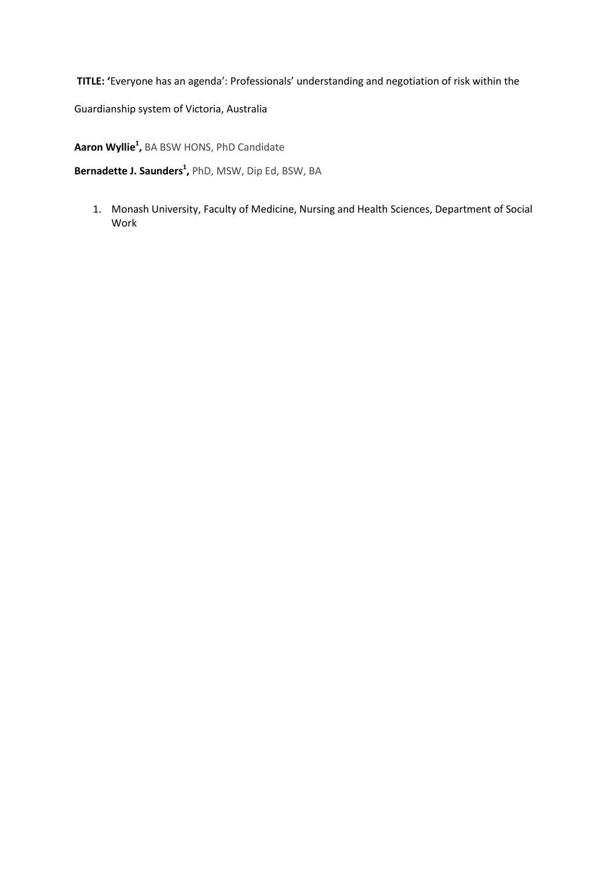**TITLE: '**Everyone has an agenda': Professionals' understanding and negotiation of risk within the

Guardianship system of Victoria, Australia

**Aaron Wyllie<sup>1</sup> ,** BA BSW HONS, PhD Candidate

**Bernadette J. Saunders<sup>1</sup> ,** PhD, MSW, Dip Ed, BSW, BA

1. Monash University, Faculty of Medicine, Nursing and Health Sciences, Department of Social Work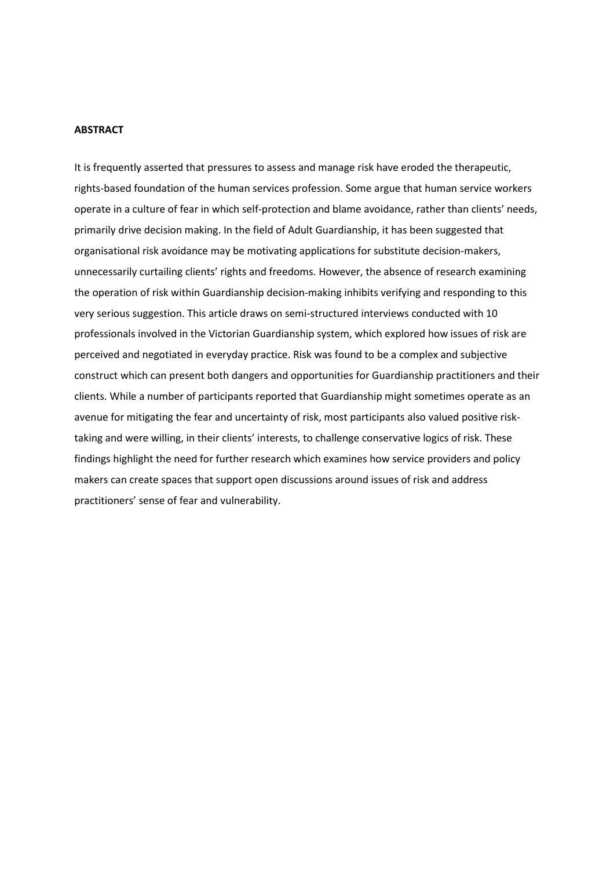# **ABSTRACT**

It is frequently asserted that pressures to assess and manage risk have eroded the therapeutic, rights-based foundation of the human services profession. Some argue that human service workers operate in a culture of fear in which self-protection and blame avoidance, rather than clients' needs, primarily drive decision making. In the field of Adult Guardianship, it has been suggested that organisational risk avoidance may be motivating applications for substitute decision-makers, unnecessarily curtailing clients' rights and freedoms. However, the absence of research examining the operation of risk within Guardianship decision-making inhibits verifying and responding to this very serious suggestion. This article draws on semi-structured interviews conducted with 10 professionals involved in the Victorian Guardianship system, which explored how issues of risk are perceived and negotiated in everyday practice. Risk was found to be a complex and subjective construct which can present both dangers and opportunities for Guardianship practitioners and their clients. While a number of participants reported that Guardianship might sometimes operate as an avenue for mitigating the fear and uncertainty of risk, most participants also valued positive risktaking and were willing, in their clients' interests, to challenge conservative logics of risk. These findings highlight the need for further research which examines how service providers and policy makers can create spaces that support open discussions around issues of risk and address practitioners' sense of fear and vulnerability.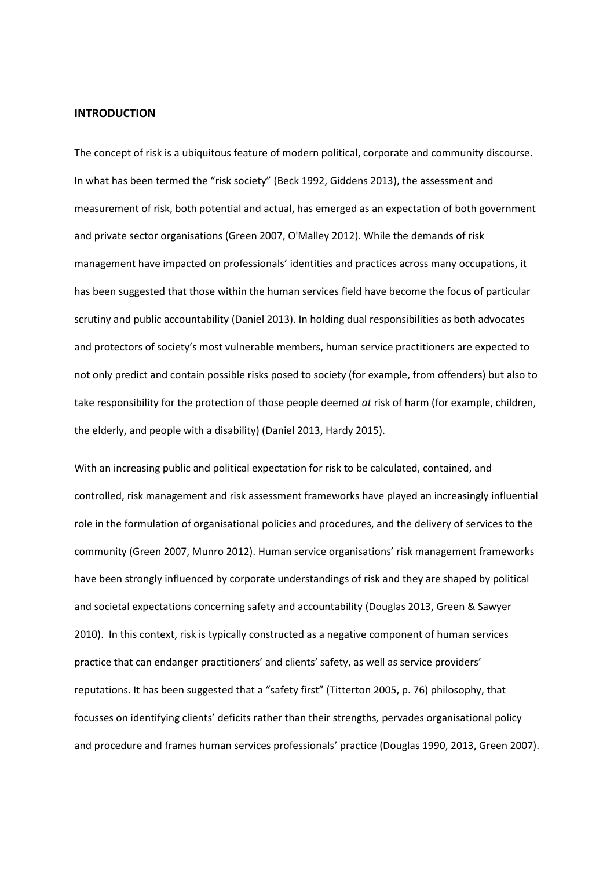#### **INTRODUCTION**

The concept of risk is a ubiquitous feature of modern political, corporate and community discourse. In what has been termed the "risk society" (Beck 1992, Giddens 2013), the assessment and measurement of risk, both potential and actual, has emerged as an expectation of both government and private sector organisations (Green 2007, O'Malley 2012). While the demands of risk management have impacted on professionals' identities and practices across many occupations, it has been suggested that those within the human services field have become the focus of particular scrutiny and public accountability (Daniel 2013). In holding dual responsibilities as both advocates and protectors of society's most vulnerable members, human service practitioners are expected to not only predict and contain possible risks posed to society (for example, from offenders) but also to take responsibility for the protection of those people deemed *at* risk of harm (for example, children, the elderly, and people with a disability) (Daniel 2013, Hardy 2015).

With an increasing public and political expectation for risk to be calculated, contained, and controlled, risk management and risk assessment frameworks have played an increasingly influential role in the formulation of organisational policies and procedures, and the delivery of services to the community (Green 2007, Munro 2012). Human service organisations' risk management frameworks have been strongly influenced by corporate understandings of risk and they are shaped by political and societal expectations concerning safety and accountability (Douglas 2013, Green & Sawyer 2010). In this context, risk is typically constructed as a negative component of human services practice that can endanger practitioners' and clients' safety, as well as service providers' reputations. It has been suggested that a "safety first" (Titterton 2005, p. 76) philosophy, that focusses on identifying clients' deficits rather than their strengths*,* pervades organisational policy and procedure and frames human services professionals' practice (Douglas 1990, 2013, Green 2007).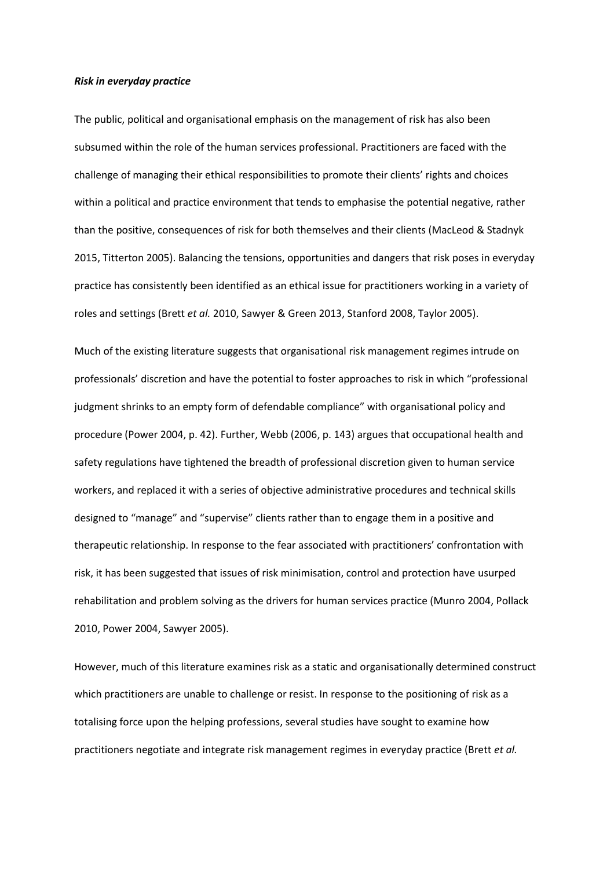#### *Risk in everyday practice*

The public, political and organisational emphasis on the management of risk has also been subsumed within the role of the human services professional. Practitioners are faced with the challenge of managing their ethical responsibilities to promote their clients' rights and choices within a political and practice environment that tends to emphasise the potential negative, rather than the positive, consequences of risk for both themselves and their clients (MacLeod & Stadnyk 2015, Titterton 2005). Balancing the tensions, opportunities and dangers that risk poses in everyday practice has consistently been identified as an ethical issue for practitioners working in a variety of roles and settings (Brett *et al.* 2010, Sawyer & Green 2013, Stanford 2008, Taylor 2005).

Much of the existing literature suggests that organisational risk management regimes intrude on professionals' discretion and have the potential to foster approaches to risk in which "professional judgment shrinks to an empty form of defendable compliance" with organisational policy and procedure (Power 2004, p. 42). Further, Webb (2006, p. 143) argues that occupational health and safety regulations have tightened the breadth of professional discretion given to human service workers, and replaced it with a series of objective administrative procedures and technical skills designed to "manage" and "supervise" clients rather than to engage them in a positive and therapeutic relationship. In response to the fear associated with practitioners' confrontation with risk, it has been suggested that issues of risk minimisation, control and protection have usurped rehabilitation and problem solving as the drivers for human services practice (Munro 2004, Pollack 2010, Power 2004, Sawyer 2005).

However, much of this literature examines risk as a static and organisationally determined construct which practitioners are unable to challenge or resist. In response to the positioning of risk as a totalising force upon the helping professions, several studies have sought to examine how practitioners negotiate and integrate risk management regimes in everyday practice (Brett *et al.*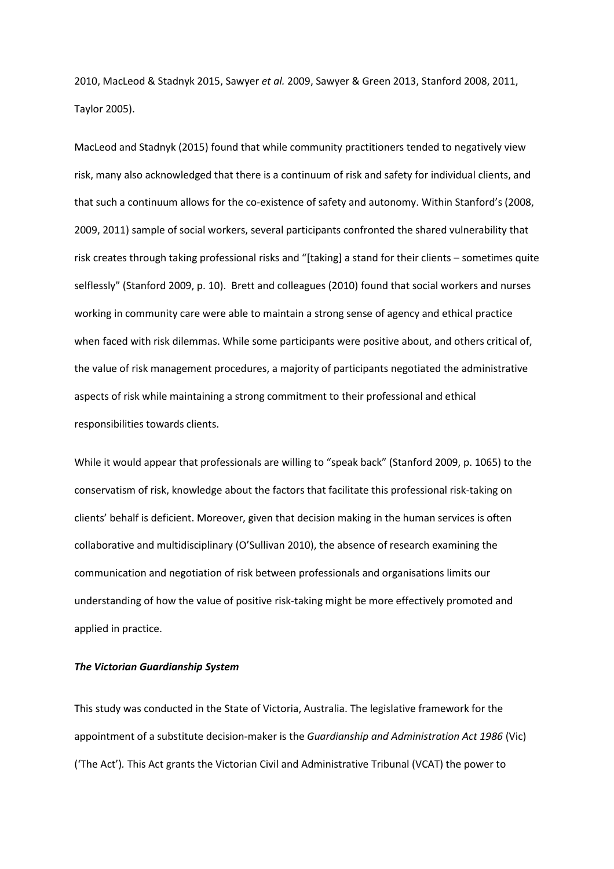2010, MacLeod & Stadnyk 2015, Sawyer *et al.* 2009, Sawyer & Green 2013, Stanford 2008, 2011, Taylor 2005).

MacLeod and Stadnyk (2015) found that while community practitioners tended to negatively view risk, many also acknowledged that there is a continuum of risk and safety for individual clients, and that such a continuum allows for the co-existence of safety and autonomy. Within Stanford's (2008, 2009, 2011) sample of social workers, several participants confronted the shared vulnerability that risk creates through taking professional risks and "[taking] a stand for their clients – sometimes quite selflessly" (Stanford 2009, p. 10). Brett and colleagues (2010) found that social workers and nurses working in community care were able to maintain a strong sense of agency and ethical practice when faced with risk dilemmas. While some participants were positive about, and others critical of, the value of risk management procedures, a majority of participants negotiated the administrative aspects of risk while maintaining a strong commitment to their professional and ethical responsibilities towards clients.

While it would appear that professionals are willing to "speak back" (Stanford 2009, p. 1065) to the conservatism of risk, knowledge about the factors that facilitate this professional risk-taking on clients' behalf is deficient. Moreover, given that decision making in the human services is often collaborative and multidisciplinary (O'Sullivan 2010), the absence of research examining the communication and negotiation of risk between professionals and organisations limits our understanding of how the value of positive risk-taking might be more effectively promoted and applied in practice.

# *The Victorian Guardianship System*

This study was conducted in the State of Victoria, Australia. The legislative framework for the appointment of a substitute decision-maker is the *Guardianship and Administration Act 1986* (Vic) ('The Act')*.* This Act grants the Victorian Civil and Administrative Tribunal (VCAT) the power to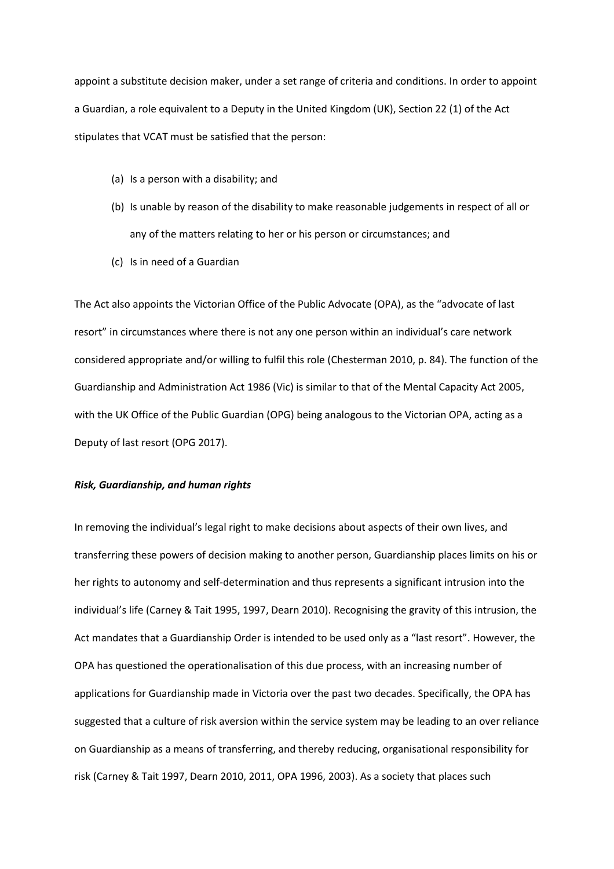appoint a substitute decision maker, under a set range of criteria and conditions. In order to appoint a Guardian, a role equivalent to a Deputy in the United Kingdom (UK), Section 22 (1) of the Act stipulates that VCAT must be satisfied that the person:

- (a) Is a person with a disability; and
- (b) Is unable by reason of the disability to make reasonable judgements in respect of all or any of the matters relating to her or his person or circumstances; and
- (c) Is in need of a Guardian

The Act also appoints the Victorian Office of the Public Advocate (OPA), as the "advocate of last resort" in circumstances where there is not any one person within an individual's care network considered appropriate and/or willing to fulfil this role (Chesterman 2010, p. 84). The function of the Guardianship and Administration Act 1986 (Vic) is similar to that of the Mental Capacity Act 2005, with the UK Office of the Public Guardian (OPG) being analogous to the Victorian OPA, acting as a Deputy of last resort (OPG 2017).

#### *Risk, Guardianship, and human rights*

In removing the individual's legal right to make decisions about aspects of their own lives, and transferring these powers of decision making to another person, Guardianship places limits on his or her rights to autonomy and self-determination and thus represents a significant intrusion into the individual's life (Carney & Tait 1995, 1997, Dearn 2010). Recognising the gravity of this intrusion, the Act mandates that a Guardianship Order is intended to be used only as a "last resort". However, the OPA has questioned the operationalisation of this due process, with an increasing number of applications for Guardianship made in Victoria over the past two decades. Specifically, the OPA has suggested that a culture of risk aversion within the service system may be leading to an over reliance on Guardianship as a means of transferring, and thereby reducing, organisational responsibility for risk (Carney & Tait 1997, Dearn 2010, 2011, OPA 1996, 2003). As a society that places such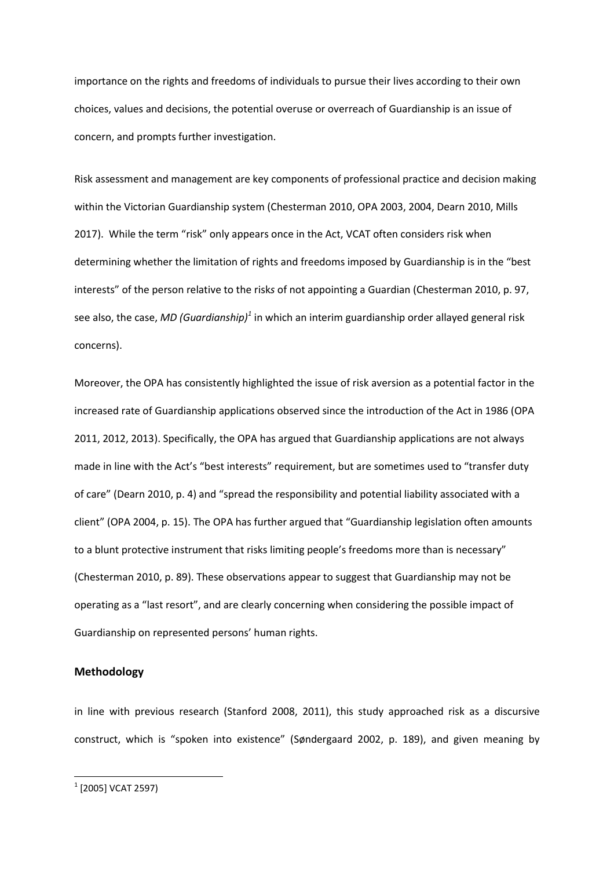importance on the rights and freedoms of individuals to pursue their lives according to their own choices, values and decisions, the potential overuse or overreach of Guardianship is an issue of concern, and prompts further investigation.

Risk assessment and management are key components of professional practice and decision making within the Victorian Guardianship system (Chesterman 2010, OPA 2003, 2004, Dearn 2010, Mills 2017). While the term "risk" only appears once in the Act, VCAT often considers risk when determining whether the limitation of rights and freedoms imposed by Guardianship is in the "best interests" of the person relative to the risk*s* of not appointing a Guardian (Chesterman 2010, p. 97, see also, the case, *MD (Guardianship)<sup>1</sup>* in which an interim guardianship order allayed general risk concerns).

Moreover, the OPA has consistently highlighted the issue of risk aversion as a potential factor in the increased rate of Guardianship applications observed since the introduction of the Act in 1986 (OPA 2011, 2012, 2013). Specifically, the OPA has argued that Guardianship applications are not always made in line with the Act's "best interests" requirement, but are sometimes used to "transfer duty of care" (Dearn 2010, p. 4) and "spread the responsibility and potential liability associated with a client" (OPA 2004, p. 15). The OPA has further argued that "Guardianship legislation often amounts to a blunt protective instrument that risks limiting people's freedoms more than is necessary" (Chesterman 2010, p. 89). These observations appear to suggest that Guardianship may not be operating as a "last resort", and are clearly concerning when considering the possible impact of Guardianship on represented persons' human rights.

# **Methodology**

in line with previous research (Stanford 2008, 2011), this study approached risk as a discursive construct, which is "spoken into existence" (Søndergaard 2002, p. 189), and given meaning by

 $\overline{\phantom{a}}$ 

 $^{\rm 1}$  [2005] VCAT 2597)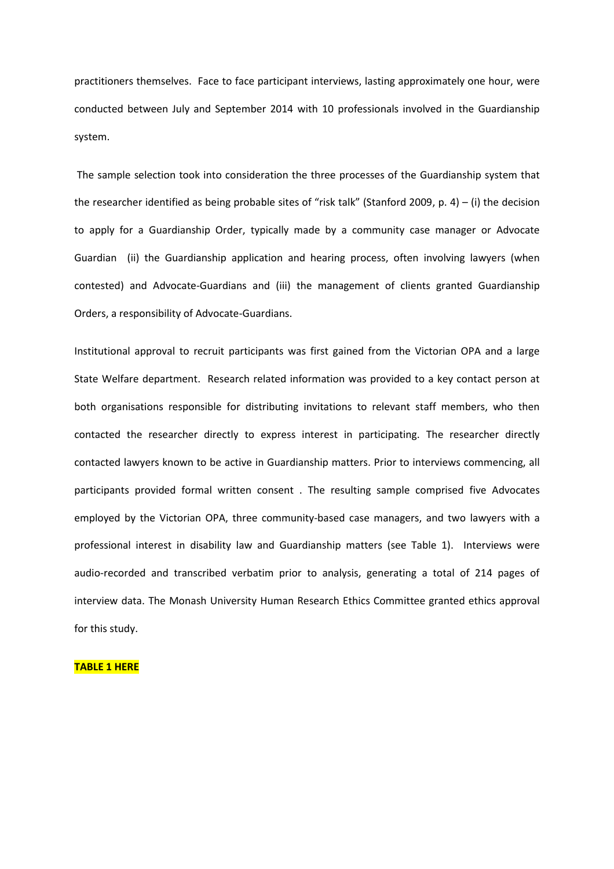practitioners themselves. Face to face participant interviews, lasting approximately one hour, were conducted between July and September 2014 with 10 professionals involved in the Guardianship system.

The sample selection took into consideration the three processes of the Guardianship system that the researcher identified as being probable sites of "risk talk" (Stanford 2009, p. 4) – (i) the decision to apply for a Guardianship Order, typically made by a community case manager or Advocate Guardian (ii) the Guardianship application and hearing process, often involving lawyers (when contested) and Advocate-Guardians and (iii) the management of clients granted Guardianship Orders, a responsibility of Advocate-Guardians.

Institutional approval to recruit participants was first gained from the Victorian OPA and a large State Welfare department. Research related information was provided to a key contact person at both organisations responsible for distributing invitations to relevant staff members, who then contacted the researcher directly to express interest in participating. The researcher directly contacted lawyers known to be active in Guardianship matters. Prior to interviews commencing, all participants provided formal written consent . The resulting sample comprised five Advocates employed by the Victorian OPA, three community-based case managers, and two lawyers with a professional interest in disability law and Guardianship matters (see Table 1). Interviews were audio-recorded and transcribed verbatim prior to analysis, generating a total of 214 pages of interview data. The Monash University Human Research Ethics Committee granted ethics approval for this study.

#### **TABLE 1 HERE**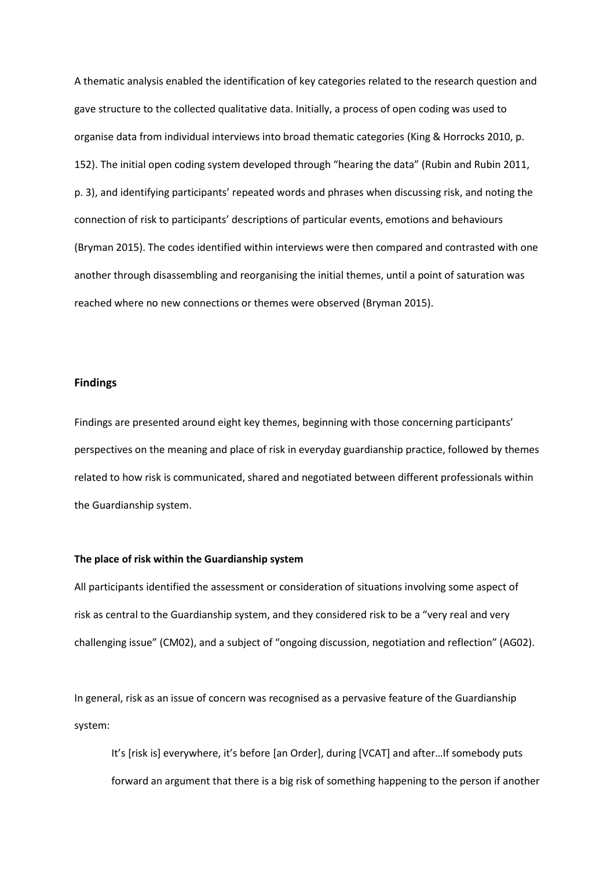A thematic analysis enabled the identification of key categories related to the research question and gave structure to the collected qualitative data. Initially, a process of open coding was used to organise data from individual interviews into broad thematic categories (King & Horrocks 2010, p. 152). The initial open coding system developed through "hearing the data" (Rubin and Rubin 2011, p. 3), and identifying participants' repeated words and phrases when discussing risk, and noting the connection of risk to participants' descriptions of particular events, emotions and behaviours (Bryman 2015). The codes identified within interviews were then compared and contrasted with one another through disassembling and reorganising the initial themes, until a point of saturation was reached where no new connections or themes were observed (Bryman 2015).

#### **Findings**

Findings are presented around eight key themes, beginning with those concerning participants' perspectives on the meaning and place of risk in everyday guardianship practice, followed by themes related to how risk is communicated, shared and negotiated between different professionals within the Guardianship system.

# **The place of risk within the Guardianship system**

All participants identified the assessment or consideration of situations involving some aspect of risk as central to the Guardianship system, and they considered risk to be a "very real and very challenging issue" (CM02), and a subject of "ongoing discussion, negotiation and reflection" (AG02).

In general, risk as an issue of concern was recognised as a pervasive feature of the Guardianship system:

It's [risk is] everywhere, it's before [an Order], during [VCAT] and after…If somebody puts forward an argument that there is a big risk of something happening to the person if another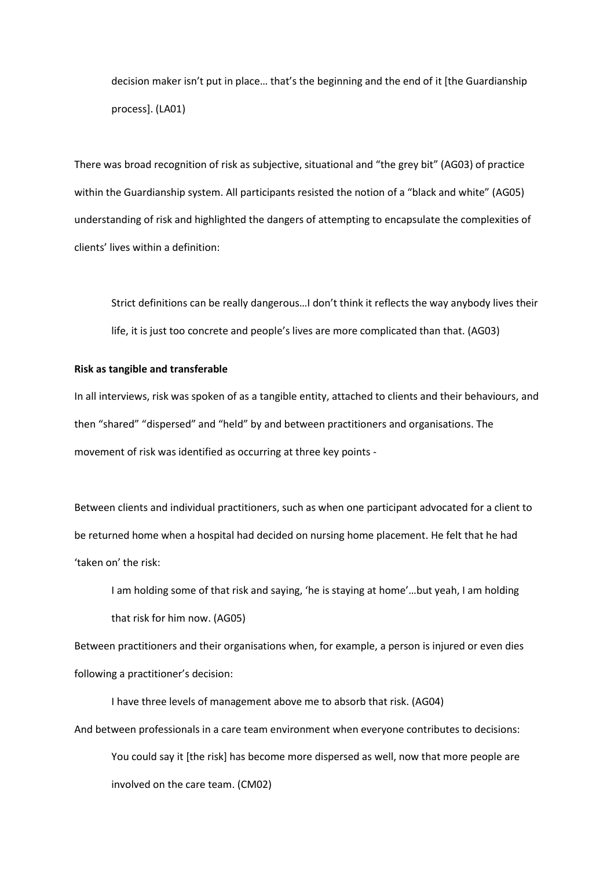decision maker isn't put in place… that's the beginning and the end of it [the Guardianship process]. (LA01)

There was broad recognition of risk as subjective, situational and "the grey bit" (AG03) of practice within the Guardianship system. All participants resisted the notion of a "black and white" (AG05) understanding of risk and highlighted the dangers of attempting to encapsulate the complexities of clients' lives within a definition:

Strict definitions can be really dangerous…I don't think it reflects the way anybody lives their life, it is just too concrete and people's lives are more complicated than that. (AG03)

# **Risk as tangible and transferable**

In all interviews, risk was spoken of as a tangible entity, attached to clients and their behaviours, and then "shared" "dispersed" and "held" by and between practitioners and organisations. The movement of risk was identified as occurring at three key points -

Between clients and individual practitioners, such as when one participant advocated for a client to be returned home when a hospital had decided on nursing home placement. He felt that he had 'taken on' the risk:

I am holding some of that risk and saying, 'he is staying at home'…but yeah, I am holding that risk for him now. (AG05)

Between practitioners and their organisations when, for example, a person is injured or even dies following a practitioner's decision:

I have three levels of management above me to absorb that risk. (AG04)

And between professionals in a care team environment when everyone contributes to decisions: You could say it [the risk] has become more dispersed as well, now that more people are involved on the care team. (CM02)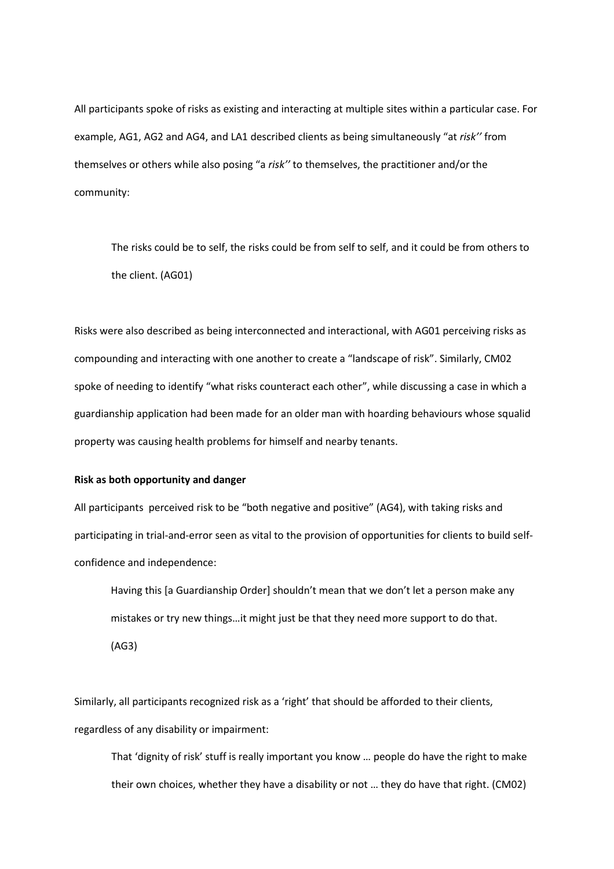All participants spoke of risks as existing and interacting at multiple sites within a particular case. For example, AG1, AG2 and AG4, and LA1 described clients as being simultaneously "at *risk''* from themselves or others while also posing "a *risk''* to themselves, the practitioner and/or the community:

The risks could be to self, the risks could be from self to self, and it could be from others to the client. (AG01)

Risks were also described as being interconnected and interactional, with AG01 perceiving risks as compounding and interacting with one another to create a "landscape of risk". Similarly, CM02 spoke of needing to identify "what risks counteract each other", while discussing a case in which a guardianship application had been made for an older man with hoarding behaviours whose squalid property was causing health problems for himself and nearby tenants.

## **Risk as both opportunity and danger**

All participants perceived risk to be "both negative and positive" (AG4), with taking risks and participating in trial-and-error seen as vital to the provision of opportunities for clients to build selfconfidence and independence:

Having this [a Guardianship Order] shouldn't mean that we don't let a person make any mistakes or try new things…it might just be that they need more support to do that. (AG3)

Similarly, all participants recognized risk as a 'right' that should be afforded to their clients, regardless of any disability or impairment:

That 'dignity of risk' stuff is really important you know … people do have the right to make their own choices, whether they have a disability or not … they do have that right. (CM02)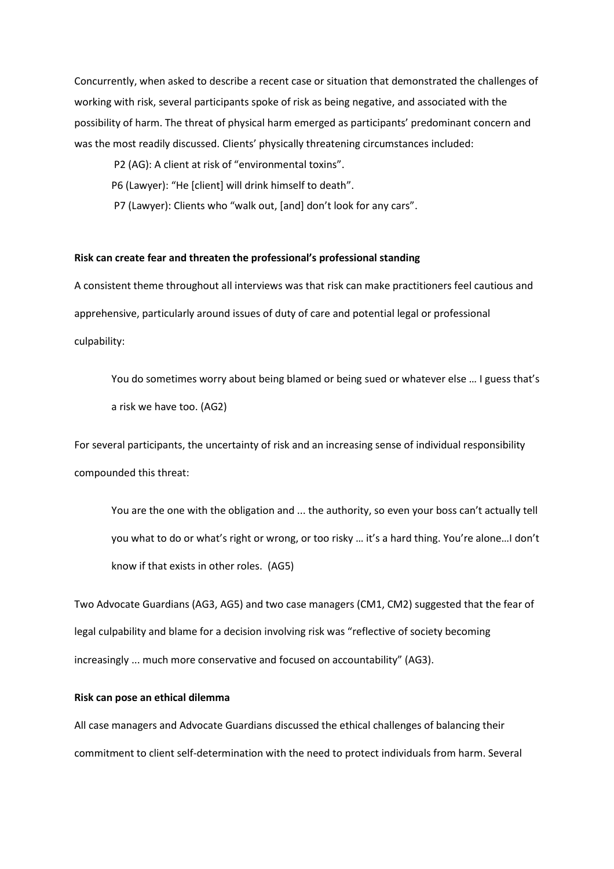Concurrently, when asked to describe a recent case or situation that demonstrated the challenges of working with risk, several participants spoke of risk as being negative, and associated with the possibility of harm. The threat of physical harm emerged as participants' predominant concern and was the most readily discussed. Clients' physically threatening circumstances included:

- P2 (AG): A client at risk of "environmental toxins".
- P6 (Lawyer): "He [client] will drink himself to death".
- P7 (Lawyer): Clients who "walk out, [and] don't look for any cars".

#### **Risk can create fear and threaten the professional's professional standing**

A consistent theme throughout all interviews was that risk can make practitioners feel cautious and apprehensive, particularly around issues of duty of care and potential legal or professional culpability:

You do sometimes worry about being blamed or being sued or whatever else ... I guess that's a risk we have too. (AG2)

For several participants, the uncertainty of risk and an increasing sense of individual responsibility compounded this threat:

You are the one with the obligation and ... the authority, so even your boss can't actually tell you what to do or what's right or wrong, or too risky … it's a hard thing. You're alone…I don't know if that exists in other roles. (AG5)

Two Advocate Guardians (AG3, AG5) and two case managers (CM1, CM2) suggested that the fear of legal culpability and blame for a decision involving risk was "reflective of society becoming increasingly ... much more conservative and focused on accountability" (AG3).

# **Risk can pose an ethical dilemma**

All case managers and Advocate Guardians discussed the ethical challenges of balancing their commitment to client self-determination with the need to protect individuals from harm. Several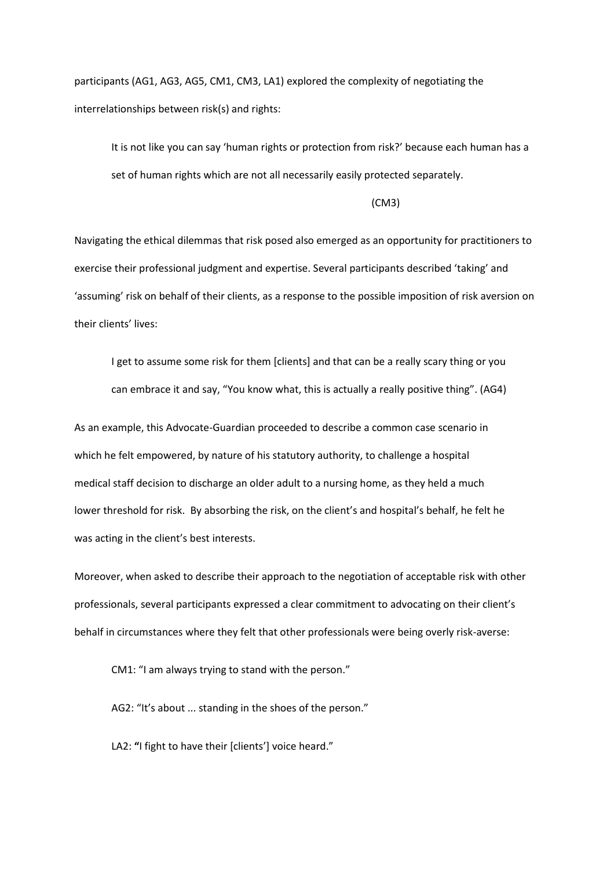participants (AG1, AG3, AG5, CM1, CM3, LA1) explored the complexity of negotiating the interrelationships between risk(s) and rights:

It is not like you can say 'human rights or protection from risk?' because each human has a set of human rights which are not all necessarily easily protected separately.

(CM3)

Navigating the ethical dilemmas that risk posed also emerged as an opportunity for practitioners to exercise their professional judgment and expertise. Several participants described 'taking' and 'assuming' risk on behalf of their clients, as a response to the possible imposition of risk aversion on their clients' lives:

I get to assume some risk for them [clients] and that can be a really scary thing or you can embrace it and say, "You know what, this is actually a really positive thing". (AG4)

As an example, this Advocate-Guardian proceeded to describe a common case scenario in which he felt empowered, by nature of his statutory authority, to challenge a hospital medical staff decision to discharge an older adult to a nursing home, as they held a much lower threshold for risk. By absorbing the risk, on the client's and hospital's behalf, he felt he was acting in the client's best interests.

Moreover, when asked to describe their approach to the negotiation of acceptable risk with other professionals, several participants expressed a clear commitment to advocating on their client's behalf in circumstances where they felt that other professionals were being overly risk-averse:

CM1: "I am always trying to stand with the person."

AG2: "It's about ... standing in the shoes of the person."

LA2: **"**I fight to have their [clients'] voice heard."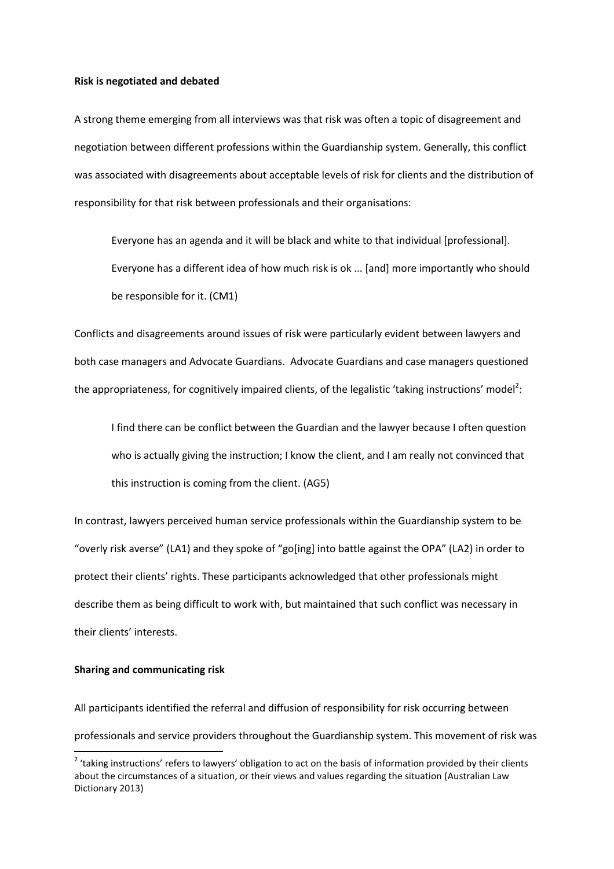#### **Risk is negotiated and debated**

A strong theme emerging from all interviews was that risk was often a topic of disagreement and negotiation between different professions within the Guardianship system. Generally, this conflict was associated with disagreements about acceptable levels of risk for clients and the distribution of responsibility for that risk between professionals and their organisations:

Everyone has an agenda and it will be black and white to that individual [professional]. Everyone has a different idea of how much risk is ok ... [and] more importantly who should be responsible for it. (CM1)

Conflicts and disagreements around issues of risk were particularly evident between lawyers and both case managers and Advocate Guardians. Advocate Guardians and case managers questioned the appropriateness, for cognitively impaired clients, of the legalistic 'taking instructions' model<sup>2</sup>:

I find there can be conflict between the Guardian and the lawyer because I often question who is actually giving the instruction; I know the client, and I am really not convinced that this instruction is coming from the client. (AG5)

In contrast, lawyers perceived human service professionals within the Guardianship system to be "overly risk averse" (LA1) and they spoke of "go[ing] into battle against the OPA" (LA2) in order to protect their clients' rights. These participants acknowledged that other professionals might describe them as being difficult to work with, but maintained that such conflict was necessary in their clients' interests.

# **Sharing and communicating risk**

 $\overline{\phantom{a}}$ 

All participants identified the referral and diffusion of responsibility for risk occurring between professionals and service providers throughout the Guardianship system. This movement of risk was

<sup>&</sup>lt;sup>2</sup> 'taking instructions' refers to lawyers' obligation to act on the basis of information provided by their clients about the circumstances of a situation, or their views and values regarding the situation (Australian Law Dictionary 2013)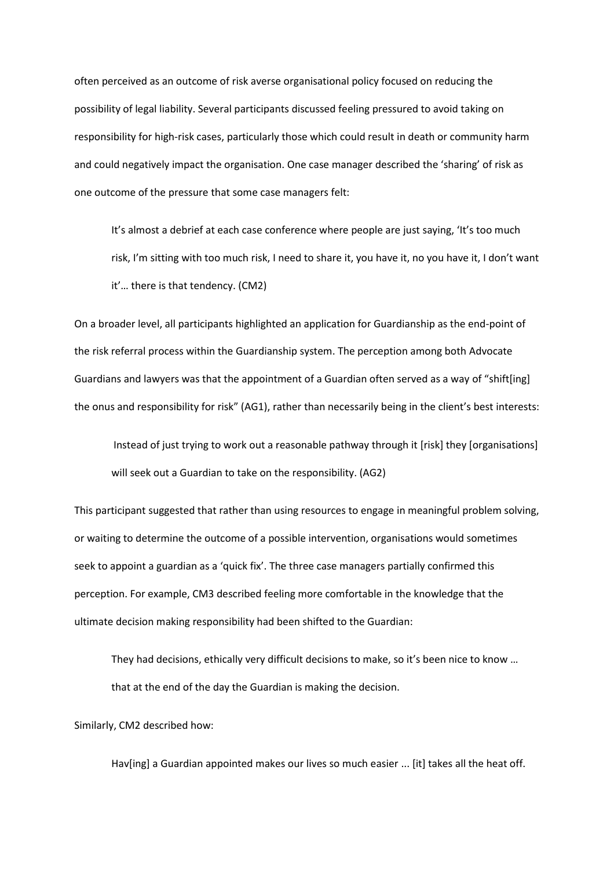often perceived as an outcome of risk averse organisational policy focused on reducing the possibility of legal liability. Several participants discussed feeling pressured to avoid taking on responsibility for high-risk cases, particularly those which could result in death or community harm and could negatively impact the organisation. One case manager described the 'sharing' of risk as one outcome of the pressure that some case managers felt:

It's almost a debrief at each case conference where people are just saying, 'It's too much risk, I'm sitting with too much risk, I need to share it, you have it, no you have it, I don't want it'… there is that tendency. (CM2)

On a broader level, all participants highlighted an application for Guardianship as the end-point of the risk referral process within the Guardianship system. The perception among both Advocate Guardians and lawyers was that the appointment of a Guardian often served as a way of "shift[ing] the onus and responsibility for risk" (AG1), rather than necessarily being in the client's best interests:

Instead of just trying to work out a reasonable pathway through it [risk] they [organisations] will seek out a Guardian to take on the responsibility. (AG2)

This participant suggested that rather than using resources to engage in meaningful problem solving, or waiting to determine the outcome of a possible intervention, organisations would sometimes seek to appoint a guardian as a 'quick fix'. The three case managers partially confirmed this perception. For example, CM3 described feeling more comfortable in the knowledge that the ultimate decision making responsibility had been shifted to the Guardian:

They had decisions, ethically very difficult decisions to make, so it's been nice to know … that at the end of the day the Guardian is making the decision.

Similarly, CM2 described how:

Hav[ing] a Guardian appointed makes our lives so much easier ... [it] takes all the heat off.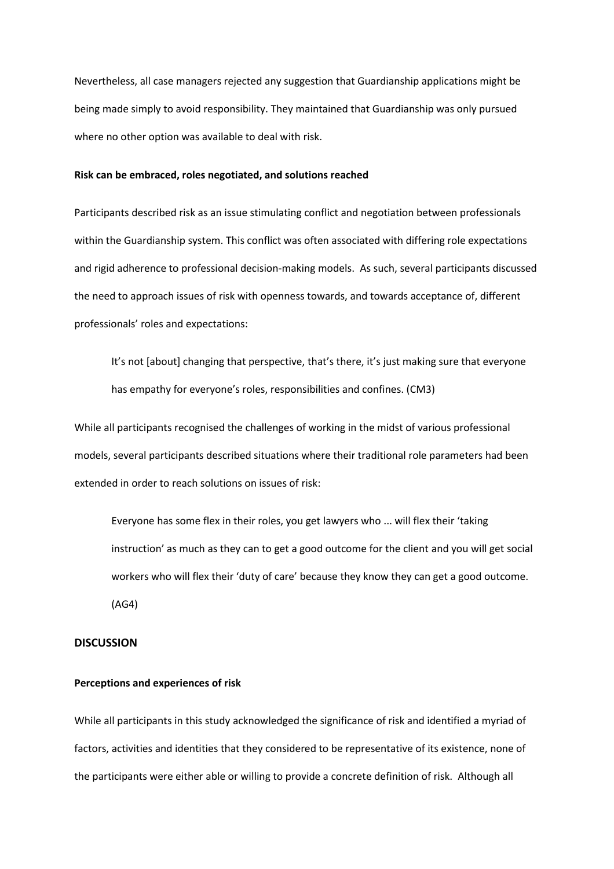Nevertheless, all case managers rejected any suggestion that Guardianship applications might be being made simply to avoid responsibility. They maintained that Guardianship was only pursued where no other option was available to deal with risk.

#### **Risk can be embraced, roles negotiated, and solutions reached**

Participants described risk as an issue stimulating conflict and negotiation between professionals within the Guardianship system. This conflict was often associated with differing role expectations and rigid adherence to professional decision-making models. As such, several participants discussed the need to approach issues of risk with openness towards, and towards acceptance of, different professionals' roles and expectations:

It's not [about] changing that perspective, that's there, it's just making sure that everyone has empathy for everyone's roles, responsibilities and confines. (CM3)

While all participants recognised the challenges of working in the midst of various professional models, several participants described situations where their traditional role parameters had been extended in order to reach solutions on issues of risk:

Everyone has some flex in their roles, you get lawyers who ... will flex their 'taking instruction' as much as they can to get a good outcome for the client and you will get social workers who will flex their 'duty of care' because they know they can get a good outcome. (AG4)

# **DISCUSSION**

#### **Perceptions and experiences of risk**

While all participants in this study acknowledged the significance of risk and identified a myriad of factors, activities and identities that they considered to be representative of its existence, none of the participants were either able or willing to provide a concrete definition of risk. Although all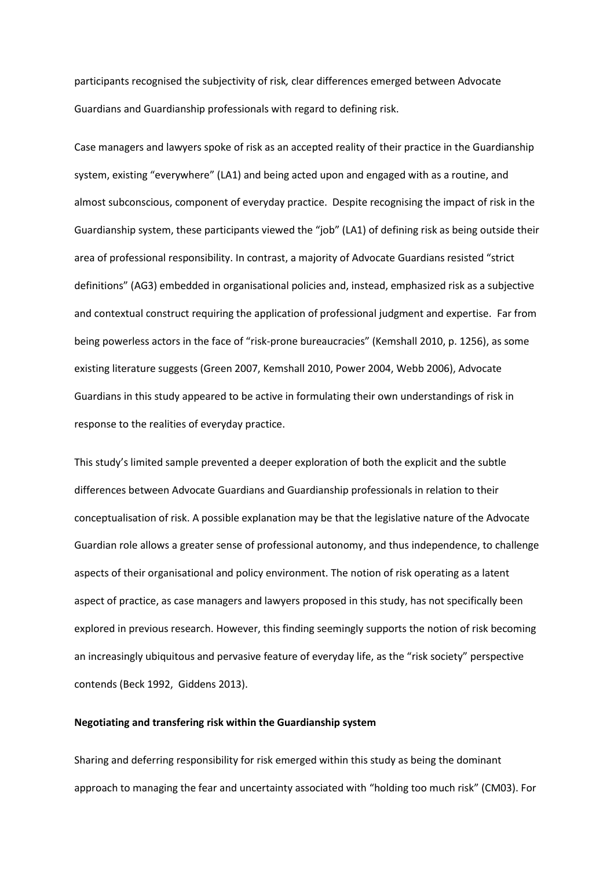participants recognised the subjectivity of risk*,* clear differences emerged between Advocate Guardians and Guardianship professionals with regard to defining risk.

Case managers and lawyers spoke of risk as an accepted reality of their practice in the Guardianship system, existing "everywhere" (LA1) and being acted upon and engaged with as a routine, and almost subconscious, component of everyday practice. Despite recognising the impact of risk in the Guardianship system, these participants viewed the "job" (LA1) of defining risk as being outside their area of professional responsibility. In contrast, a majority of Advocate Guardians resisted "strict definitions" (AG3) embedded in organisational policies and, instead, emphasized risk as a subjective and contextual construct requiring the application of professional judgment and expertise. Far from being powerless actors in the face of "risk-prone bureaucracies" (Kemshall 2010, p. 1256), as some existing literature suggests (Green 2007, Kemshall 2010, Power 2004, Webb 2006), Advocate Guardians in this study appeared to be active in formulating their own understandings of risk in response to the realities of everyday practice.

This study's limited sample prevented a deeper exploration of both the explicit and the subtle differences between Advocate Guardians and Guardianship professionals in relation to their conceptualisation of risk. A possible explanation may be that the legislative nature of the Advocate Guardian role allows a greater sense of professional autonomy, and thus independence, to challenge aspects of their organisational and policy environment. The notion of risk operating as a latent aspect of practice, as case managers and lawyers proposed in this study, has not specifically been explored in previous research. However, this finding seemingly supports the notion of risk becoming an increasingly ubiquitous and pervasive feature of everyday life, as the "risk society" perspective contends (Beck 1992, Giddens 2013).

# **Negotiating and transfering risk within the Guardianship system**

Sharing and deferring responsibility for risk emerged within this study as being the dominant approach to managing the fear and uncertainty associated with "holding too much risk" (CM03). For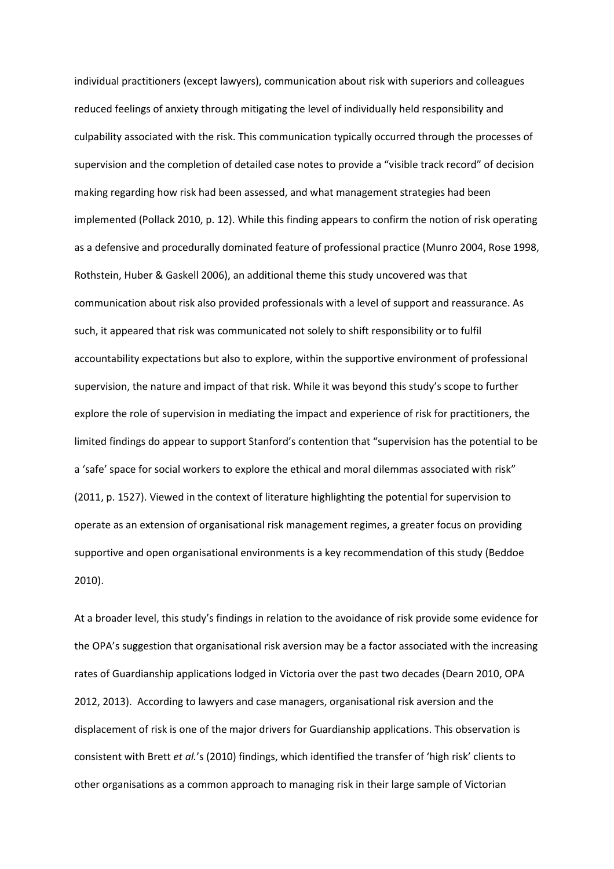individual practitioners (except lawyers), communication about risk with superiors and colleagues reduced feelings of anxiety through mitigating the level of individually held responsibility and culpability associated with the risk. This communication typically occurred through the processes of supervision and the completion of detailed case notes to provide a "visible track record" of decision making regarding how risk had been assessed, and what management strategies had been implemented (Pollack 2010, p. 12). While this finding appears to confirm the notion of risk operating as a defensive and procedurally dominated feature of professional practice (Munro 2004, Rose 1998, Rothstein, Huber & Gaskell 2006), an additional theme this study uncovered was that communication about risk also provided professionals with a level of support and reassurance. As such, it appeared that risk was communicated not solely to shift responsibility or to fulfil accountability expectations but also to explore, within the supportive environment of professional supervision, the nature and impact of that risk. While it was beyond this study's scope to further explore the role of supervision in mediating the impact and experience of risk for practitioners, the limited findings do appear to support Stanford's contention that "supervision has the potential to be a 'safe' space for social workers to explore the ethical and moral dilemmas associated with risk" (2011, p. 1527). Viewed in the context of literature highlighting the potential for supervision to operate as an extension of organisational risk management regimes, a greater focus on providing supportive and open organisational environments is a key recommendation of this study (Beddoe 2010).

At a broader level, this study's findings in relation to the avoidance of risk provide some evidence for the OPA's suggestion that organisational risk aversion may be a factor associated with the increasing rates of Guardianship applications lodged in Victoria over the past two decades (Dearn 2010, OPA 2012, 2013). According to lawyers and case managers, organisational risk aversion and the displacement of risk is one of the major drivers for Guardianship applications. This observation is consistent with Brett *et al.*'s (2010) findings, which identified the transfer of 'high risk' clients to other organisations as a common approach to managing risk in their large sample of Victorian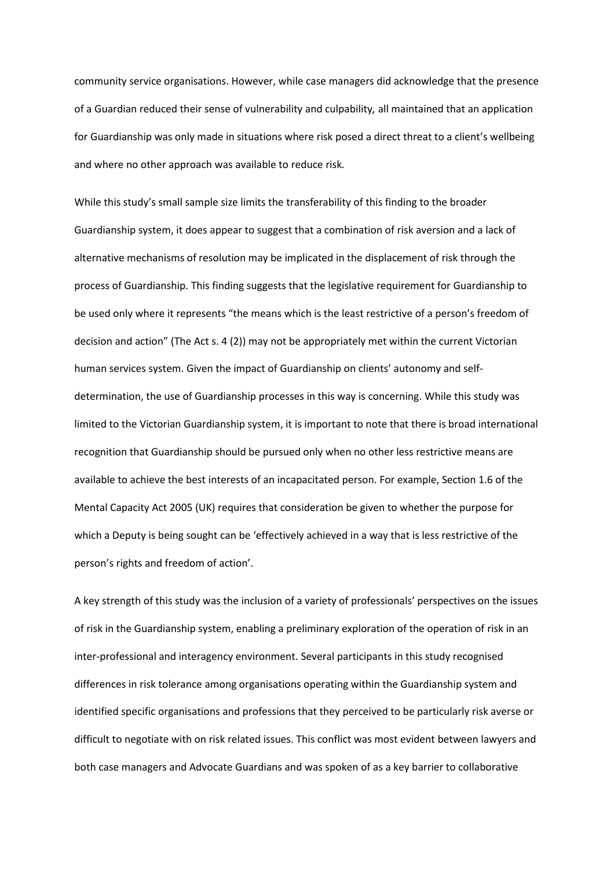community service organisations. However, while case managers did acknowledge that the presence of a Guardian reduced their sense of vulnerability and culpability*,* all maintained that an application for Guardianship was only made in situations where risk posed a direct threat to a client's wellbeing and where no other approach was available to reduce risk*.*

While this study's small sample size limits the transferability of this finding to the broader Guardianship system, it does appear to suggest that a combination of risk aversion and a lack of alternative mechanisms of resolution may be implicated in the displacement of risk through the process of Guardianship. This finding suggests that the legislative requirement for Guardianship to be used only where it represents "the means which is the least restrictive of a person's freedom of decision and action" (The Act s. 4 (2)) may not be appropriately met within the current Victorian human services system. Given the impact of Guardianship on clients' autonomy and selfdetermination, the use of Guardianship processes in this way is concerning. While this study was limited to the Victorian Guardianship system, it is important to note that there is broad international recognition that Guardianship should be pursued only when no other less restrictive means are available to achieve the best interests of an incapacitated person. For example, Section 1.6 of the Mental Capacity Act 2005 (UK) requires that consideration be given to whether the purpose for which a Deputy is being sought can be 'effectively achieved in a way that is less restrictive of the person's rights and freedom of action'.

A key strength of this study was the inclusion of a variety of professionals' perspectives on the issues of risk in the Guardianship system, enabling a preliminary exploration of the operation of risk in an inter-professional and interagency environment. Several participants in this study recognised differences in risk tolerance among organisations operating within the Guardianship system and identified specific organisations and professions that they perceived to be particularly risk averse or difficult to negotiate with on risk related issues. This conflict was most evident between lawyers and both case managers and Advocate Guardians and was spoken of as a key barrier to collaborative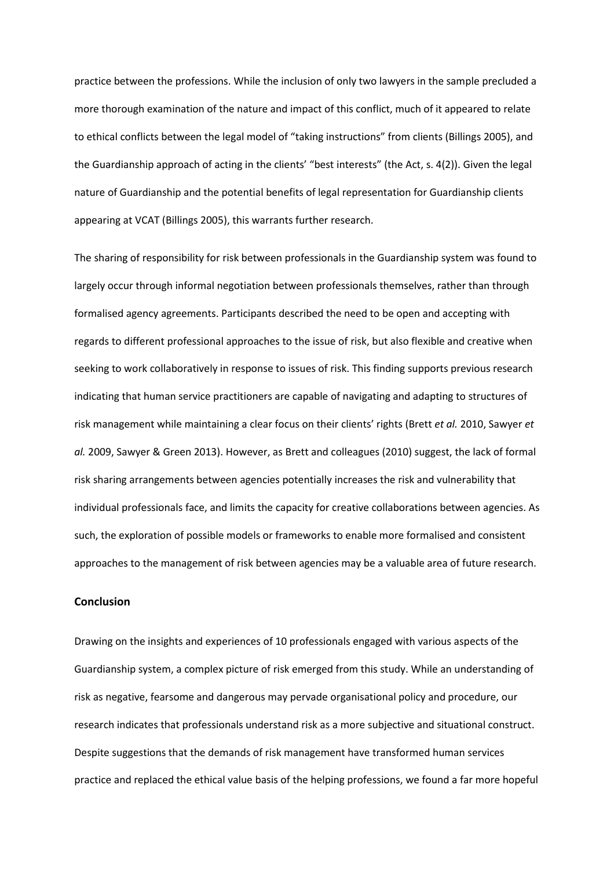practice between the professions. While the inclusion of only two lawyers in the sample precluded a more thorough examination of the nature and impact of this conflict, much of it appeared to relate to ethical conflicts between the legal model of "taking instructions" from clients (Billings 2005), and the Guardianship approach of acting in the clients' "best interests" (the Act, s. 4(2)). Given the legal nature of Guardianship and the potential benefits of legal representation for Guardianship clients appearing at VCAT (Billings 2005), this warrants further research.

The sharing of responsibility for risk between professionals in the Guardianship system was found to largely occur through informal negotiation between professionals themselves, rather than through formalised agency agreements. Participants described the need to be open and accepting with regards to different professional approaches to the issue of risk, but also flexible and creative when seeking to work collaboratively in response to issues of risk. This finding supports previous research indicating that human service practitioners are capable of navigating and adapting to structures of risk management while maintaining a clear focus on their clients' rights (Brett *et al.* 2010, Sawyer *et al.* 2009, Sawyer & Green 2013). However, as Brett and colleagues (2010) suggest, the lack of formal risk sharing arrangements between agencies potentially increases the risk and vulnerability that individual professionals face, and limits the capacity for creative collaborations between agencies. As such, the exploration of possible models or frameworks to enable more formalised and consistent approaches to the management of risk between agencies may be a valuable area of future research.

#### **Conclusion**

Drawing on the insights and experiences of 10 professionals engaged with various aspects of the Guardianship system, a complex picture of risk emerged from this study. While an understanding of risk as negative, fearsome and dangerous may pervade organisational policy and procedure, our research indicates that professionals understand risk as a more subjective and situational construct. Despite suggestions that the demands of risk management have transformed human services practice and replaced the ethical value basis of the helping professions, we found a far more hopeful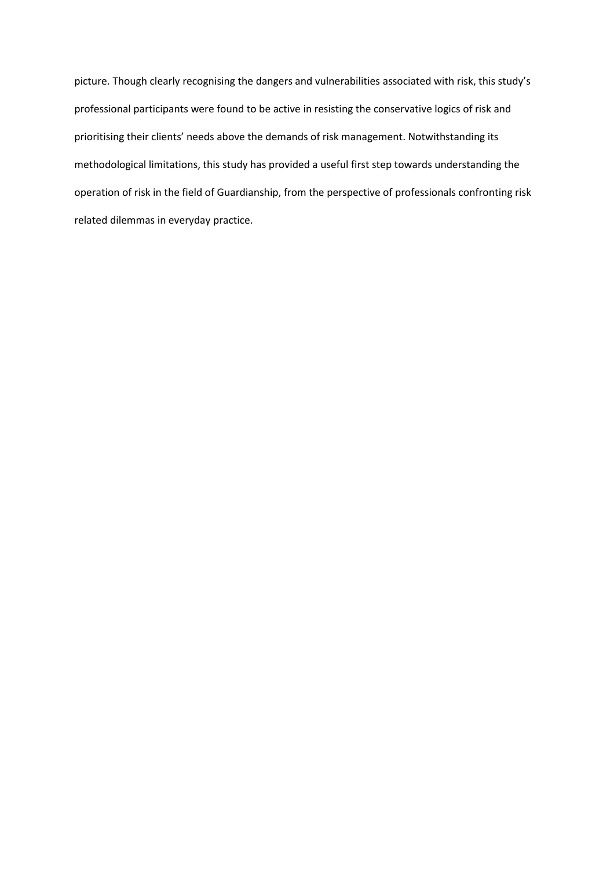picture. Though clearly recognising the dangers and vulnerabilities associated with risk, this study's professional participants were found to be active in resisting the conservative logics of risk and prioritising their clients' needs above the demands of risk management. Notwithstanding its methodological limitations, this study has provided a useful first step towards understanding the operation of risk in the field of Guardianship, from the perspective of professionals confronting risk related dilemmas in everyday practice.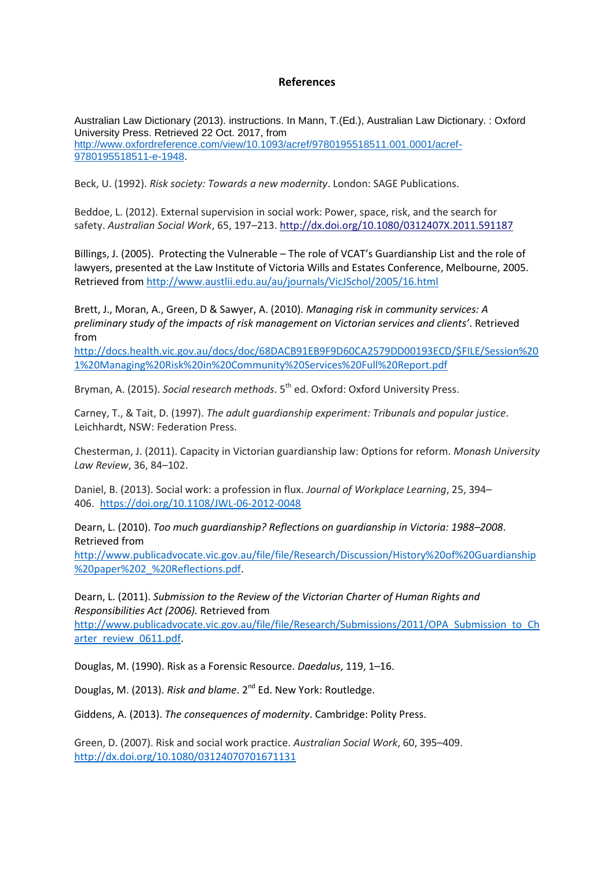# **References**

Australian Law Dictionary (2013). instructions. In Mann, T.(Ed.), Australian Law Dictionary. : Oxford University Press. Retrieved 22 Oct. 2017, from [http://www.oxfordreference.com/view/10.1093/acref/9780195518511.001.0001/acref-](http://www.oxfordreference.com/view/10.1093/acref/9780195518511.001.0001/acref-9780195518511-e-1948)[9780195518511-e-1948.](http://www.oxfordreference.com/view/10.1093/acref/9780195518511.001.0001/acref-9780195518511-e-1948)

Beck, U. (1992). *Risk society: Towards a new modernity*. London: SAGE Publications.

Beddoe, L. (2012). External supervision in social work: Power, space, risk, and the search for safety. *Australian Social Work*, 65, 197–213. <http://dx.doi.org/10.1080/0312407X.2011.591187>

Billings, J. (2005). Protecting the Vulnerable – The role of VCAT's Guardianship List and the role of lawyers, presented at the Law Institute of Victoria Wills and Estates Conference, Melbourne, 2005. Retrieved from<http://www.austlii.edu.au/au/journals/VicJSchol/2005/16.html>

Brett, J., Moran, A., Green, D & Sawyer, A. (2010). *Managing risk in community services: A preliminary study of the impacts of risk management on Victorian services and clients'*. Retrieved from

[http://docs.health.vic.gov.au/docs/doc/68DACB91EB9F9D60CA2579DD00193ECD/\\$FILE/Session%20](http://docs.health.vic.gov.au/docs/doc/68DACB91EB9F9D60CA2579DD00193ECD/$FILE/Session%201%20Managing%20Risk%20in%20Community%20Services%20Full%20Report.pdf) [1%20Managing%20Risk%20in%20Community%20Services%20Full%20Report.pdf](http://docs.health.vic.gov.au/docs/doc/68DACB91EB9F9D60CA2579DD00193ECD/$FILE/Session%201%20Managing%20Risk%20in%20Community%20Services%20Full%20Report.pdf)

Bryman, A. (2015). *Social research methods*. 5<sup>th</sup> ed. Oxford: Oxford University Press.

Carney, T., & Tait, D. (1997). *The adult guardianship experiment: Tribunals and popular justice*. Leichhardt, NSW: Federation Press.

Chesterman, J. (2011). Capacity in Victorian guardianship law: Options for reform. *Monash University Law Review*, 36, 84–102.

Daniel, B. (2013). Social work: a profession in flux. *Journal of Workplace Learning*, 25, 394– 406. <https://doi.org/10.1108/JWL-06-2012-0048>

Dearn, L. (2010). *Too much guardianship? Reflections on guardianship in Victoria: 1988–2008*. Retrieved from

[http://www.publicadvocate.vic.gov.au/file/file/Research/Discussion/History%20of%20Guardianship](http://www.publicadvocate.vic.gov.au/file/file/Research/Discussion/History%20of%20Guardianship%20paper%202_%20Reflections.pdf) [%20paper%202\\_%20Reflections.pdf.](http://www.publicadvocate.vic.gov.au/file/file/Research/Discussion/History%20of%20Guardianship%20paper%202_%20Reflections.pdf)

Dearn, L. (2011). *Submission to the Review of the Victorian Charter of Human Rights and Responsibilities Act (2006).* Retrieved from

[http://www.publicadvocate.vic.gov.au/file/file/Research/Submissions/2011/OPA\\_Submission\\_to\\_Ch](http://www.publicadvocate.vic.gov.au/file/file/Research/Submissions/2011/OPA_Submission_to_Charter_review_0611.pdf)\_ [arter\\_review\\_0611.pdf.](http://www.publicadvocate.vic.gov.au/file/file/Research/Submissions/2011/OPA_Submission_to_Charter_review_0611.pdf)

Douglas, M. (1990). Risk as a Forensic Resource. *Daedalus*, 119, 1–16.

Douglas, M. (2013). Risk and blame. 2<sup>nd</sup> Ed. New York: Routledge.

Giddens, A. (2013). *The consequences of modernity*. Cambridge: Polity Press.

Green, D. (2007). Risk and social work practice. *Australian Social Work*, 60, 395–409. <http://dx.doi.org/10.1080/03124070701671131>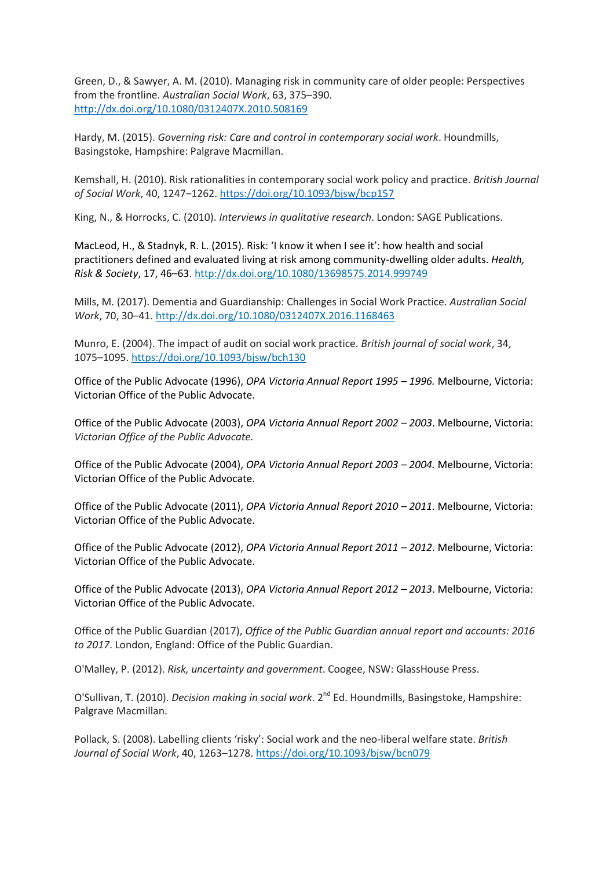Green, D., & Sawyer, A. M. (2010). Managing risk in community care of older people: Perspectives from the frontline. *Australian Social Work*, 63, 375–390. <http://dx.doi.org/10.1080/0312407X.2010.508169>

Hardy, M. (2015). *Governing risk: Care and control in contemporary social work*. Houndmills, Basingstoke, Hampshire: Palgrave Macmillan.

Kemshall, H. (2010). Risk rationalities in contemporary social work policy and practice. *British Journal of Social Work*, 40, 1247–1262. <https://doi.org/10.1093/bjsw/bcp157>

King, N., & Horrocks, C. (2010). *Interviews in qualitative research*. London: SAGE Publications.

MacLeod, H., & Stadnyk, R. L. (2015). Risk: 'I know it when I see it': how health and social practitioners defined and evaluated living at risk among community-dwelling older adults. *Health, Risk & Society*, 17, 46–63. <http://dx.doi.org/10.1080/13698575.2014.999749>

Mills, M. (2017). Dementia and Guardianship: Challenges in Social Work Practice. *Australian Social Work*, 70, 30–41. http://dx.doi.org/10.1080/0312407X.2016.1168463

Munro, E. (2004). The impact of audit on social work practice. *British journal of social work*, 34, 1075–1095. <https://doi.org/10.1093/bjsw/bch130>

Office of the Public Advocate (1996), *OPA Victoria Annual Report 1995 – 1996.* Melbourne, Victoria: Victorian Office of the Public Advocate.

Office of the Public Advocate (2003), *OPA Victoria Annual Report 2002 – 2003*. Melbourne, Victoria: *Victorian Office of the Public Advocate.*

Office of the Public Advocate (2004), *OPA Victoria Annual Report 2003 – 2004.* Melbourne, Victoria: Victorian Office of the Public Advocate.

Office of the Public Advocate (2011), *OPA Victoria Annual Report 2010 – 2011*. Melbourne, Victoria: Victorian Office of the Public Advocate.

Office of the Public Advocate (2012), *OPA Victoria Annual Report 2011 – 2012*. Melbourne, Victoria: Victorian Office of the Public Advocate.

Office of the Public Advocate (2013), *OPA Victoria Annual Report 2012 – 2013*. Melbourne, Victoria: Victorian Office of the Public Advocate.

Office of the Public Guardian (2017), *Office of the Public Guardian annual report and accounts: 2016 to 2017*. London, England: Office of the Public Guardian.

O'Malley, P. (2012). *Risk, uncertainty and government*. Coogee, NSW: GlassHouse Press.

O'Sullivan, T. (2010). *Decision making in social work*. 2<sup>nd</sup> Ed. Houndmills, Basingstoke, Hampshire: Palgrave Macmillan.

Pollack, S. (2008). Labelling clients 'risky': Social work and the neo-liberal welfare state. *British Journal of Social Work*, 40, 1263–1278. <https://doi.org/10.1093/bjsw/bcn079>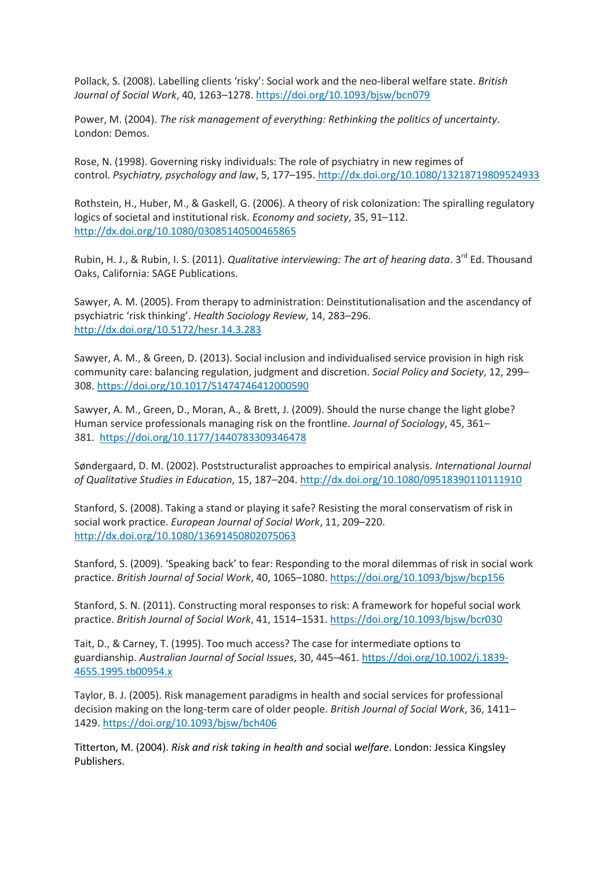Pollack, S. (2008). Labelling clients 'risky': Social work and the neo-liberal welfare state. *British Journal of Social Work*, 40, 1263–1278. <https://doi.org/10.1093/bjsw/bcn079>

Power, M. (2004). *The risk management of everything: Rethinking the politics of uncertainty*. London: Demos.

Rose, N. (1998). Governing risky individuals: The role of psychiatry in new regimes of control. *Psychiatry, psychology and law*, 5, 177–195. <http://dx.doi.org/10.1080/13218719809524933>

Rothstein, H., Huber, M., & Gaskell, G. (2006). A theory of risk colonization: The spiralling regulatory logics of societal and institutional risk. *Economy and society*, 35, 91–112. <http://dx.doi.org/10.1080/03085140500465865>

Rubin, H. J., & Rubin, I. S. (2011). *Qualitative interviewing: The art of hearing data*. 3<sup>rd</sup> Ed. Thousand Oaks, California: SAGE Publications.

Sawyer, A. M. (2005). From therapy to administration: Deinstitutionalisation and the ascendancy of psychiatric 'risk thinking'. *Health Sociology Review*, 14, 283–296. <http://dx.doi.org/10.5172/hesr.14.3.283>

Sawyer, A. M., & Green, D. (2013). Social inclusion and individualised service provision in high risk community care: balancing regulation, judgment and discretion. *Social Policy and Society*, 12, 299– 308. <https://doi.org/10.1017/S1474746412000590>

Sawyer, A. M., Green, D., Moran, A., & Brett, J. (2009). Should the nurse change the light globe? Human service professionals managing risk on the frontline. *Journal of Sociology*, 45, 361– 381. <https://doi.org/10.1177/1440783309346478>

Søndergaard, D. M. (2002). Poststructuralist approaches to empirical analysis. *International Journal of Qualitative Studies in Education*, 15, 187–204. <http://dx.doi.org/10.1080/09518390110111910>

Stanford, S. (2008). Taking a stand or playing it safe? Resisting the moral conservatism of risk in social work practice. *European Journal of Social Work*, 11, 209–220. <http://dx.doi.org/10.1080/13691450802075063>

Stanford, S. (2009). 'Speaking back' to fear: Responding to the moral dilemmas of risk in social work practice. *British Journal of Social Work*, 40, 1065–1080. <https://doi.org/10.1093/bjsw/bcp156>

Stanford, S. N. (2011). Constructing moral responses to risk: A framework for hopeful social work practice. *British Journal of Social Work*, 41, 1514–1531. <https://doi.org/10.1093/bjsw/bcr030>

Tait, D., & Carney, T. (1995). Too much access? The case for intermediate options to guardianship. *Australian Journal of Social Issues*, 30, 445–461. https://doi.org/10.1002/j.1839- 4655.1995.tb00954.x

Taylor, B. J. (2005). Risk management paradigms in health and social services for professional decision making on the long-term care of older people. *British Journal of Social Work*, 36, 1411– 1429. <https://doi.org/10.1093/bjsw/bch406>

Titterton, M. (2004). *Risk and risk taking in health and* social *welfare*. London: Jessica Kingsley Publishers.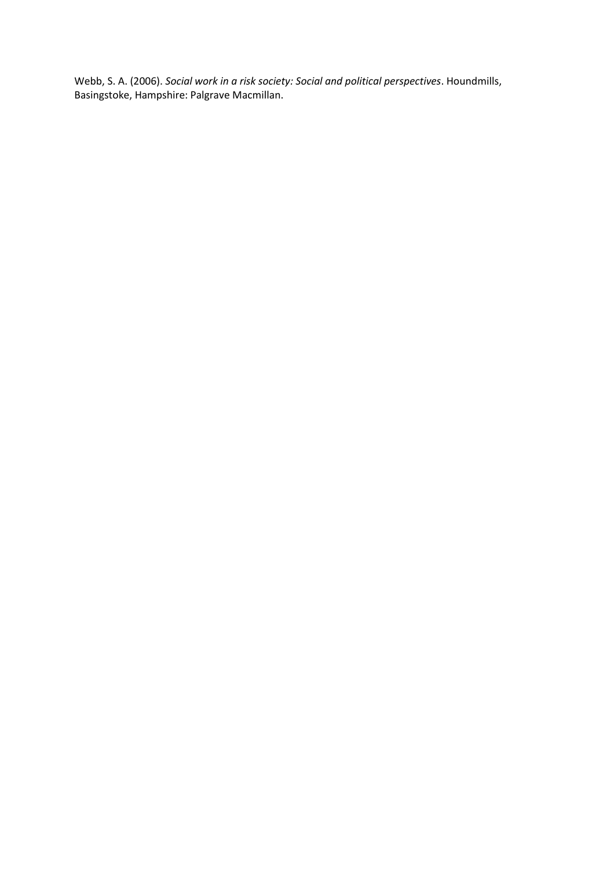Webb, S. A. (2006). *Social work in a risk society: Social and political perspectives*. Houndmills, Basingstoke, Hampshire: Palgrave Macmillan.